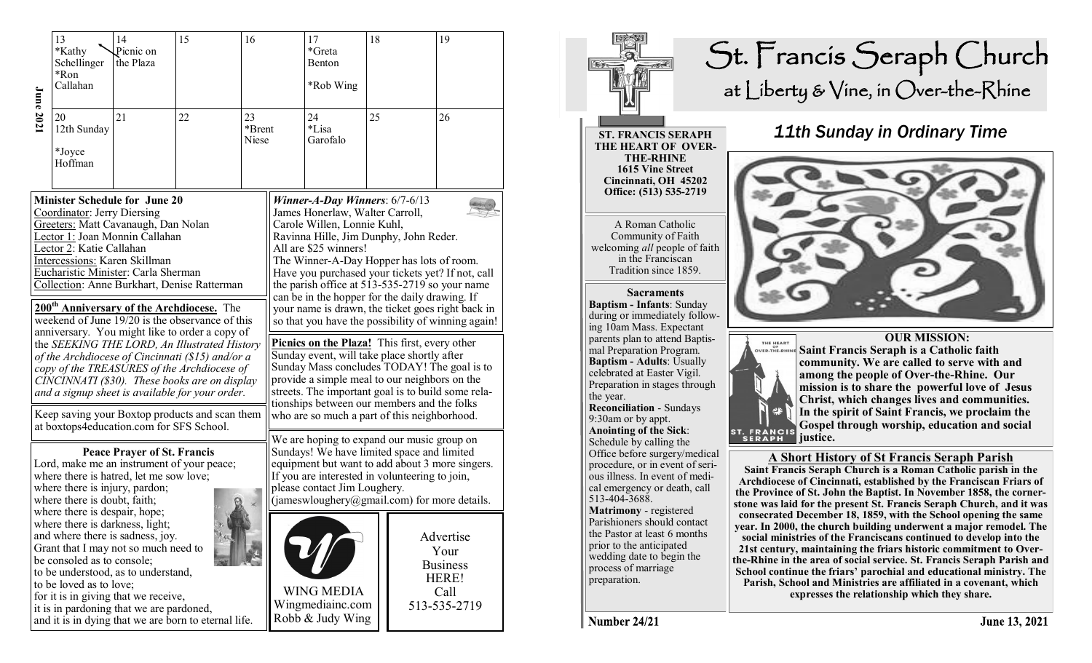| <b>June 2021</b>                                                                                                                                                                                                                                                                                | 13<br>*Kathy<br>Schellinger<br>*Ron<br>Callahan                                                                                                                                                                                                                                                                                                                                                                                                                                                                                                                                                                                                                                         | 14<br>Picnic on<br>the Plaza | 15                                                                                                                                                                                                                                                                                                                                                                                                                  | 16                                                                                                                                                                                                                                                                                                                                                                                                                                                             |  | 17<br>*Greta<br>Benton<br>*Rob Wing                                                                                                                                                                                                                                                                                           | 18 |  | 19                                                                    |  |
|-------------------------------------------------------------------------------------------------------------------------------------------------------------------------------------------------------------------------------------------------------------------------------------------------|-----------------------------------------------------------------------------------------------------------------------------------------------------------------------------------------------------------------------------------------------------------------------------------------------------------------------------------------------------------------------------------------------------------------------------------------------------------------------------------------------------------------------------------------------------------------------------------------------------------------------------------------------------------------------------------------|------------------------------|---------------------------------------------------------------------------------------------------------------------------------------------------------------------------------------------------------------------------------------------------------------------------------------------------------------------------------------------------------------------------------------------------------------------|----------------------------------------------------------------------------------------------------------------------------------------------------------------------------------------------------------------------------------------------------------------------------------------------------------------------------------------------------------------------------------------------------------------------------------------------------------------|--|-------------------------------------------------------------------------------------------------------------------------------------------------------------------------------------------------------------------------------------------------------------------------------------------------------------------------------|----|--|-----------------------------------------------------------------------|--|
|                                                                                                                                                                                                                                                                                                 | 20<br>12th Sunday<br>*Joyce<br>Hoffman                                                                                                                                                                                                                                                                                                                                                                                                                                                                                                                                                                                                                                                  | 21                           | 22                                                                                                                                                                                                                                                                                                                                                                                                                  | 23<br>*Brent<br>Niese                                                                                                                                                                                                                                                                                                                                                                                                                                          |  | 24<br>*Lisa<br>Garofalo                                                                                                                                                                                                                                                                                                       | 25 |  | 26                                                                    |  |
| <b>Minister Schedule for June 20</b><br>Coordinator: Jerry Diersing<br>Greeters: Matt Cavanaugh, Dan Nolan<br>Lector 1: Joan Monnin Callahan<br>Lector 2: Katie Callahan<br>Intercessions: Karen Skillman<br>Eucharistic Minister: Carla Sherman<br>Collection: Anne Burkhart, Denise Ratterman |                                                                                                                                                                                                                                                                                                                                                                                                                                                                                                                                                                                                                                                                                         |                              |                                                                                                                                                                                                                                                                                                                                                                                                                     |                                                                                                                                                                                                                                                                                                                                                                                                                                                                |  | Winner-A-Day Winners: $6/7-6/13$<br>James Honerlaw, Walter Carroll,<br>Carole Willen, Lonnie Kuhl,<br>Ravinna Hille, Jim Dunphy, John Reder.<br>All are \$25 winners!<br>The Winner-A-Day Hopper has lots of room.<br>Have you purchased your tickets yet? If not, call<br>the parish office at 513-535-2719 so your name     |    |  |                                                                       |  |
|                                                                                                                                                                                                                                                                                                 |                                                                                                                                                                                                                                                                                                                                                                                                                                                                                                                                                                                                                                                                                         |                              | 200 <sup>th</sup> Anniversary of the Archdiocese. The<br>weekend of June $19/20$ is the observance of this<br>anniversary. You might like to order a copy of<br>the SEEKING THE LORD, An Illustrated History<br>of the Archdiocese of Cincinnati (\$15) and/or a<br>copy of the TREASURES of the Archdiocese of<br>CINCINNATI (\$30). These books are on display<br>and a signup sheet is available for your order. | can be in the hopper for the daily drawing. If<br>your name is drawn, the ticket goes right back in<br>so that you have the possibility of winning again!<br>Picnics on the Plaza! This first, every other<br>Sunday event, will take place shortly after<br>Sunday Mass concludes TODAY! The goal is to<br>provide a simple meal to our neighbors on the<br>streets. The important goal is to build some rela-<br>tionships between our members and the folks |  |                                                                                                                                                                                                                                                                                                                               |    |  |                                                                       |  |
|                                                                                                                                                                                                                                                                                                 | Keep saving your Boxtop products and scan them<br>at boxtops4education.com for SFS School.<br><b>Peace Prayer of St. Francis</b><br>Lord, make me an instrument of your peace;<br>where there is hatred, let me sow love;<br>where there is injury, pardon;<br>where there is doubt, faith;<br>where there is despair, hope;<br>where there is darkness, light;<br>and where there is sadness, joy.<br>Grant that I may not so much need to<br>be consoled as to console;<br>to be understood, as to understand,<br>to be loved as to love;<br>for it is in giving that we receive,<br>it is in pardoning that we are pardoned,<br>and it is in dying that we are born to eternal life. |                              |                                                                                                                                                                                                                                                                                                                                                                                                                     |                                                                                                                                                                                                                                                                                                                                                                                                                                                                |  | who are so much a part of this neighborhood.<br>We are hoping to expand our music group on<br>Sundays! We have limited space and limited<br>equipment but want to add about 3 more singers.<br>If you are interested in volunteering to join,<br>please contact Jim Loughery.<br>(jameswloughery@gmail.com) for more details. |    |  |                                                                       |  |
|                                                                                                                                                                                                                                                                                                 |                                                                                                                                                                                                                                                                                                                                                                                                                                                                                                                                                                                                                                                                                         |                              |                                                                                                                                                                                                                                                                                                                                                                                                                     |                                                                                                                                                                                                                                                                                                                                                                                                                                                                |  | <b>WING MEDIA</b><br>Wingmediainc.com<br>Robb & Judy Wing                                                                                                                                                                                                                                                                     |    |  | Advertise<br>Your<br><b>Business</b><br>HERE!<br>Call<br>513-535-2719 |  |